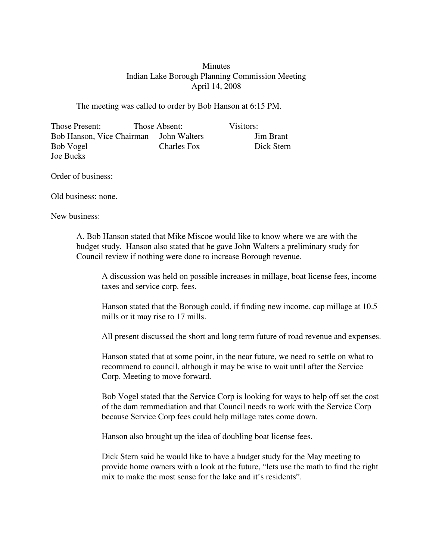## **Minutes** Indian Lake Borough Planning Commission Meeting April 14, 2008

The meeting was called to order by Bob Hanson at 6:15 PM.

Those Present: Those Absent: Visitors: Bob Hanson, Vice Chairman John Walters Jim Brant Bob Vogel Charles Fox Dick Stern Joe Bucks

Order of business:

Old business: none.

New business:

A. Bob Hanson stated that Mike Miscoe would like to know where we are with the budget study. Hanson also stated that he gave John Walters a preliminary study for Council review if nothing were done to increase Borough revenue.

A discussion was held on possible increases in millage, boat license fees, income taxes and service corp. fees.

Hanson stated that the Borough could, if finding new income, cap millage at 10.5 mills or it may rise to 17 mills.

All present discussed the short and long term future of road revenue and expenses.

Hanson stated that at some point, in the near future, we need to settle on what to recommend to council, although it may be wise to wait until after the Service Corp. Meeting to move forward.

Bob Vogel stated that the Service Corp is looking for ways to help off set the cost of the dam remmediation and that Council needs to work with the Service Corp because Service Corp fees could help millage rates come down.

Hanson also brought up the idea of doubling boat license fees.

Dick Stern said he would like to have a budget study for the May meeting to provide home owners with a look at the future, "lets use the math to find the right mix to make the most sense for the lake and it's residents".